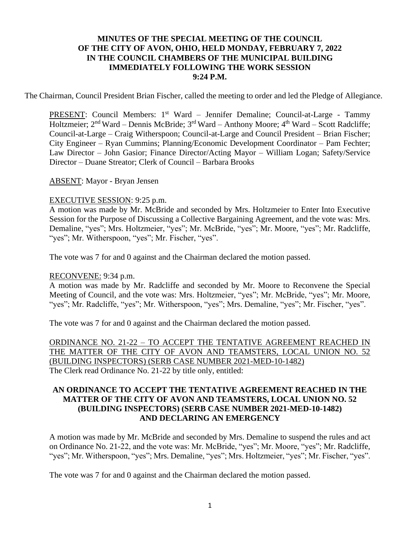## **MINUTES OF THE SPECIAL MEETING OF THE COUNCIL OF THE CITY OF AVON, OHIO, HELD MONDAY, FEBRUARY 7, 2022 IN THE COUNCIL CHAMBERS OF THE MUNICIPAL BUILDING IMMEDIATELY FOLLOWING THE WORK SESSION 9:24 P.M.**

The Chairman, Council President Brian Fischer, called the meeting to order and led the Pledge of Allegiance.

PRESENT: Council Members: 1<sup>st</sup> Ward - Jennifer Demaline; Council-at-Large - Tammy Holtzmeier; 2<sup>nd</sup> Ward – Dennis McBride; 3<sup>rd</sup> Ward – Anthony Moore; 4<sup>th</sup> Ward – Scott Radcliffe; Council-at-Large – Craig Witherspoon; Council-at-Large and Council President – Brian Fischer; City Engineer – Ryan Cummins; Planning/Economic Development Coordinator – Pam Fechter; Law Director – John Gasior; Finance Director/Acting Mayor – William Logan; Safety/Service Director – Duane Streator; Clerk of Council – Barbara Brooks

ABSENT: Mayor - Bryan Jensen

#### EXECUTIVE SESSION: 9:25 p.m.

A motion was made by Mr. McBride and seconded by Mrs. Holtzmeier to Enter Into Executive Session for the Purpose of Discussing a Collective Bargaining Agreement, and the vote was: Mrs. Demaline, "yes"; Mrs. Holtzmeier, "yes"; Mr. McBride, "yes"; Mr. Moore, "yes"; Mr. Radcliffe, "yes"; Mr. Witherspoon, "yes"; Mr. Fischer, "yes".

The vote was 7 for and 0 against and the Chairman declared the motion passed.

### RECONVENE: 9:34 p.m.

A motion was made by Mr. Radcliffe and seconded by Mr. Moore to Reconvene the Special Meeting of Council, and the vote was: Mrs. Holtzmeier, "yes"; Mr. McBride, "yes"; Mr. Moore, "yes"; Mr. Radcliffe, "yes"; Mr. Witherspoon, "yes"; Mrs. Demaline, "yes"; Mr. Fischer, "yes".

The vote was 7 for and 0 against and the Chairman declared the motion passed.

ORDINANCE NO. 21-22 – TO ACCEPT THE TENTATIVE AGREEMENT REACHED IN THE MATTER OF THE CITY OF AVON AND TEAMSTERS, LOCAL UNION NO. 52 (BUILDING INSPECTORS) (SERB CASE NUMBER 2021-MED-10-1482) The Clerk read Ordinance No. 21-22 by title only, entitled:

## **AN ORDINANCE TO ACCEPT THE TENTATIVE AGREEMENT REACHED IN THE MATTER OF THE CITY OF AVON AND TEAMSTERS, LOCAL UNION NO. 52 (BUILDING INSPECTORS) (SERB CASE NUMBER 2021-MED-10-1482) AND DECLARING AN EMERGENCY**

A motion was made by Mr. McBride and seconded by Mrs. Demaline to suspend the rules and act on Ordinance No. 21-22, and the vote was: Mr. McBride, "yes"; Mr. Moore, "yes"; Mr. Radcliffe, "yes"; Mr. Witherspoon, "yes"; Mrs. Demaline, "yes"; Mrs. Holtzmeier, "yes"; Mr. Fischer, "yes".

The vote was 7 for and 0 against and the Chairman declared the motion passed.